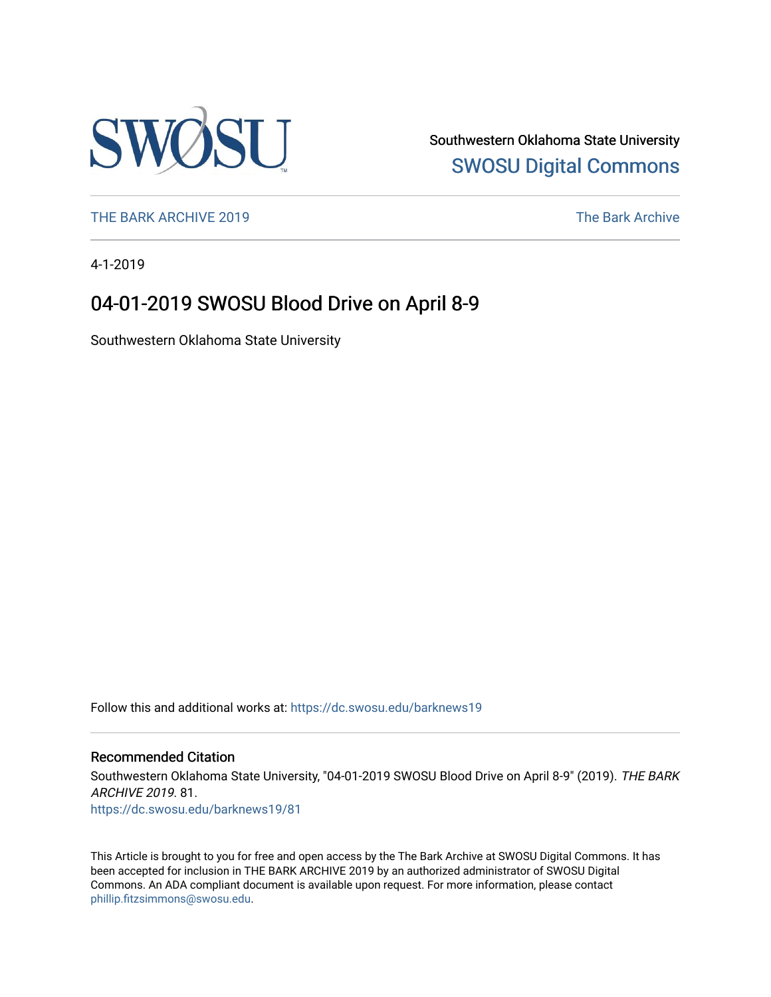

Southwestern Oklahoma State University [SWOSU Digital Commons](https://dc.swosu.edu/) 

[THE BARK ARCHIVE 2019](https://dc.swosu.edu/barknews19) The Bark Archive

4-1-2019

### 04-01-2019 SWOSU Blood Drive on April 8-9

Southwestern Oklahoma State University

Follow this and additional works at: [https://dc.swosu.edu/barknews19](https://dc.swosu.edu/barknews19?utm_source=dc.swosu.edu%2Fbarknews19%2F81&utm_medium=PDF&utm_campaign=PDFCoverPages)

#### Recommended Citation

Southwestern Oklahoma State University, "04-01-2019 SWOSU Blood Drive on April 8-9" (2019). THE BARK ARCHIVE 2019. 81. [https://dc.swosu.edu/barknews19/81](https://dc.swosu.edu/barknews19/81?utm_source=dc.swosu.edu%2Fbarknews19%2F81&utm_medium=PDF&utm_campaign=PDFCoverPages) 

This Article is brought to you for free and open access by the The Bark Archive at SWOSU Digital Commons. It has been accepted for inclusion in THE BARK ARCHIVE 2019 by an authorized administrator of SWOSU Digital Commons. An ADA compliant document is available upon request. For more information, please contact [phillip.fitzsimmons@swosu.edu](mailto:phillip.fitzsimmons@swosu.edu).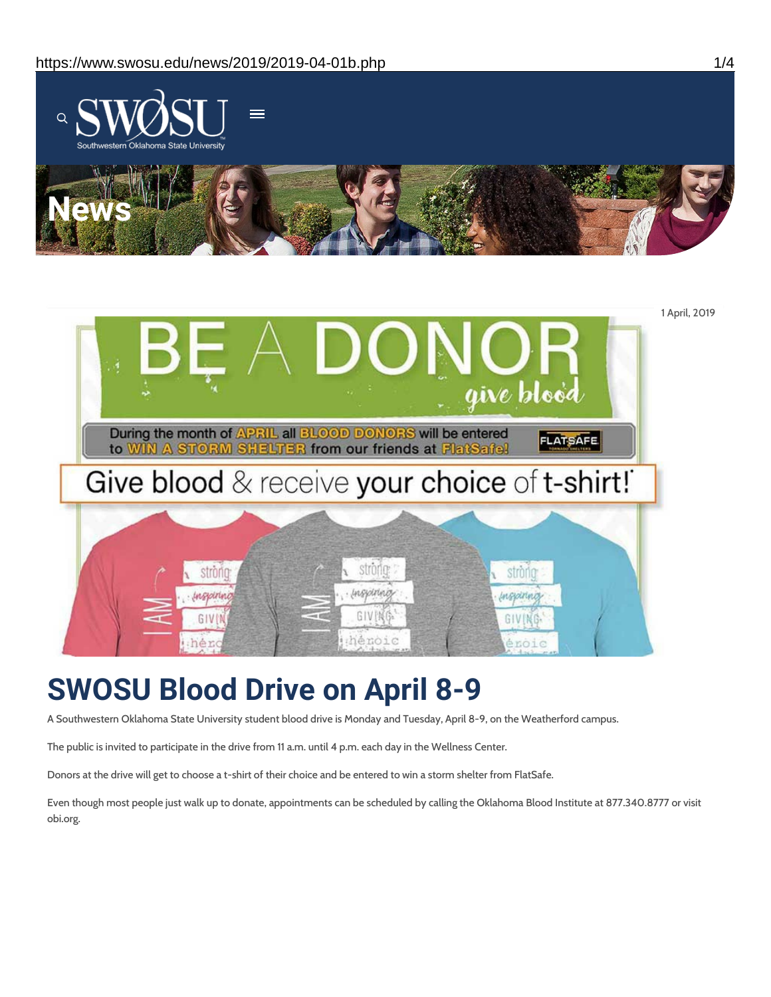



# **SWOSU Blood Drive on April 8-9**

A Southwestern Oklahoma State University student blood drive is Monday and Tuesday, April 8-9, on the Weatherford campus.

The public is invited to participate in the drive from 11 a.m. until 4 p.m. each day in the Wellness Center.

Donors at the drive will get to choose a t-shirt of their choice and be entered to win a storm shelter from FlatSafe.

Even though most people just walk up to donate, appointments can be scheduled by calling the Oklahoma Blood Institute at 877.340.8777 or visit obi.org.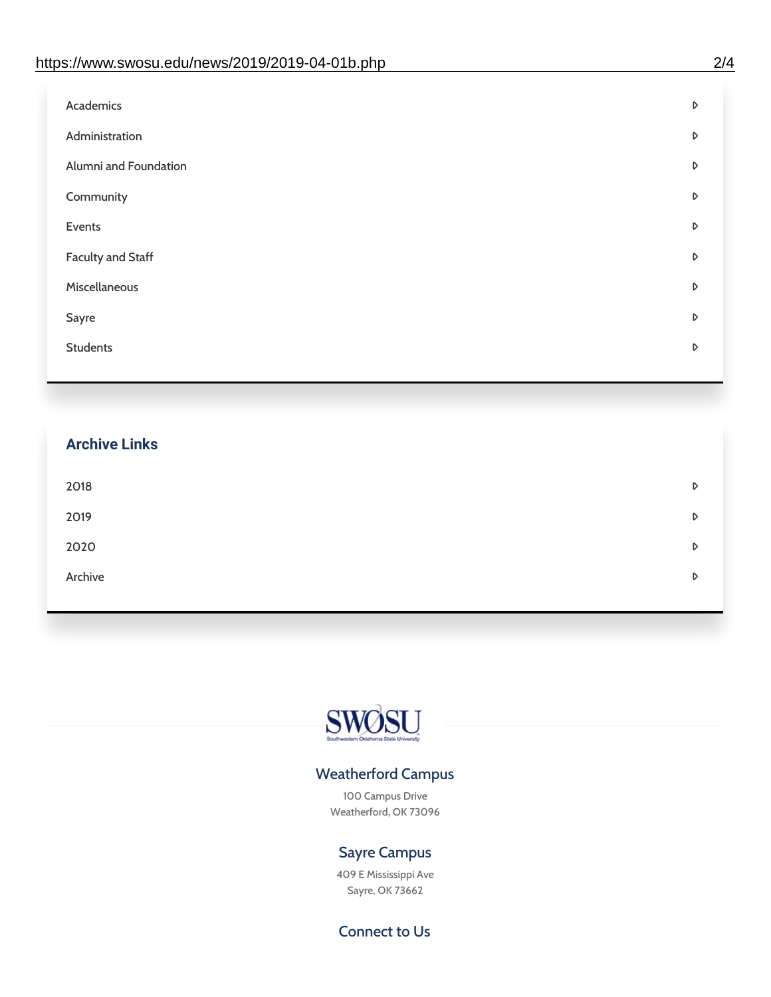| D |
|---|
| D |
| D |
| D |
| D |
| D |
| D |
| D |
| D |
|   |

## **Archive Links**  $2018$  $2019$ [2020](https://www.swosu.edu/news/2020/index.php)  $\bullet$ [Archive](https://dc.swosu.edu/bark/) **Archive Archive Archive Archive Archive** Archive Archive Archive Archive Archive Archive Archive Archive



### Weatherford Campus

100 Campus Drive Weatherford, OK 73096

### Sayre Campus

409 E Mississippi Ave Sayre, OK 73662

Connect to Us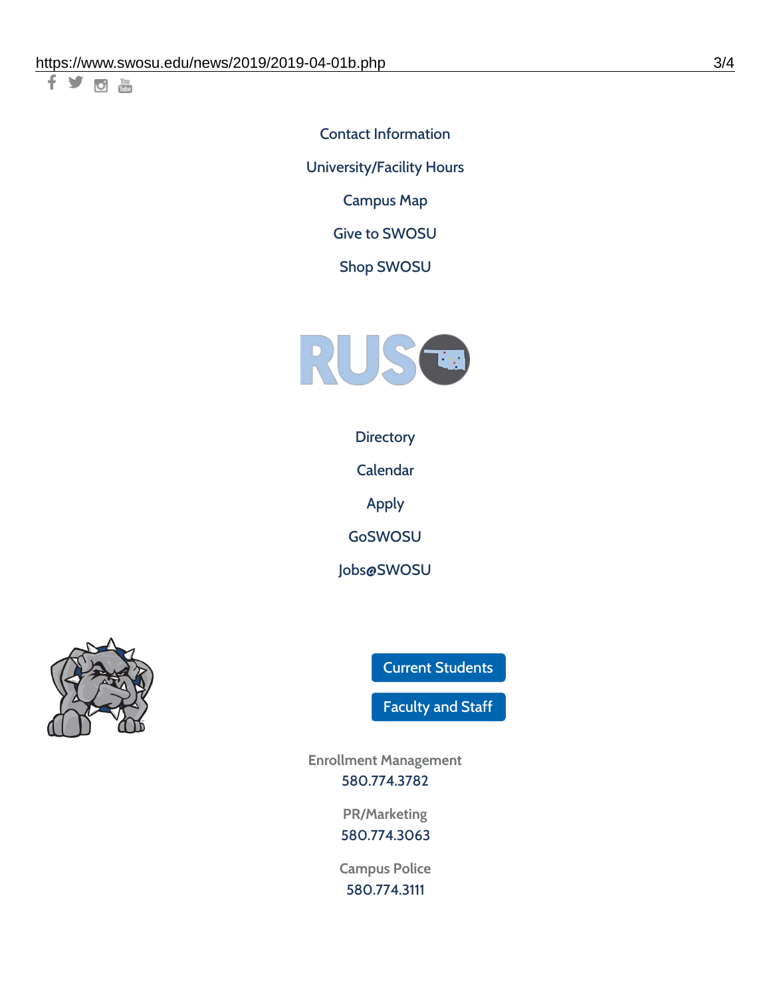千岁回调

Contact [Information](https://www.swosu.edu/about/contact.php) [University/Facility](https://www.swosu.edu/about/operating-hours.php) Hours [Campus](https://map.concept3d.com/?id=768#!ct/10964,10214,10213,10212,10205,10204,10203,10202,10136,10129,10128,0,31226,10130,10201,10641,0) Map

Give to [SWOSU](https://standingfirmly.com/donate)

Shop [SWOSU](https://shopswosu.merchorders.com/)



**[Directory](https://www.swosu.edu/directory/index.php)** 

[Calendar](https://eventpublisher.dudesolutions.com/swosu/)

[Apply](https://www.swosu.edu/admissions/apply-to-swosu.php)

[GoSWOSU](https://qlsso.quicklaunchsso.com/home/1267)

[Jobs@SWOSU](https://swosu.csod.com/ux/ats/careersite/1/home?c=swosu)



Current [Students](https://bulldog.swosu.edu/index.php)

[Faculty](https://bulldog.swosu.edu/faculty-staff/index.php) and Staff

**Enrollment Management** [580.774.3782](tel:5807743782)

> **PR/Marketing** [580.774.3063](tel:5807743063)

**Campus Police** [580.774.3111](tel:5807743111)